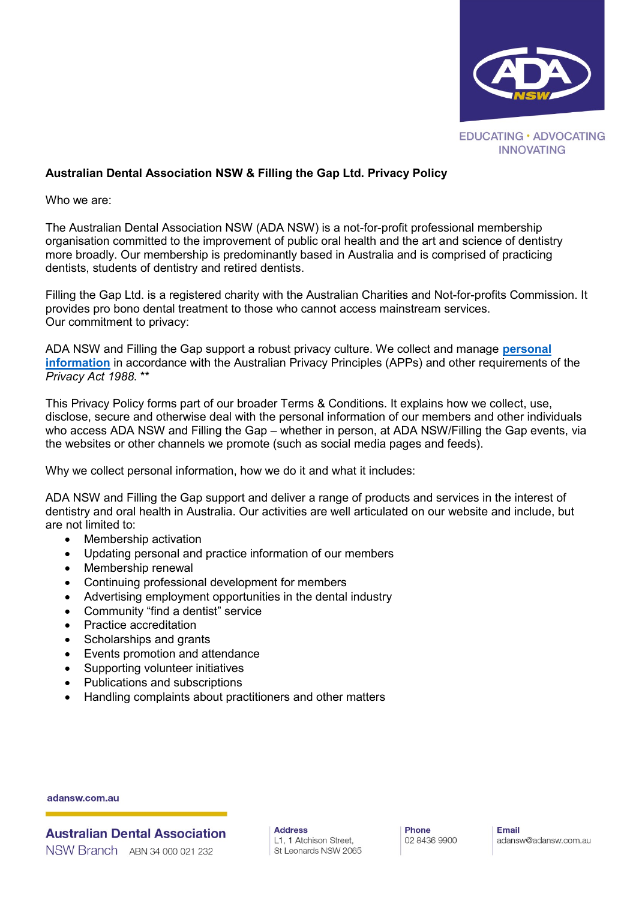

# **Australian Dental Association NSW & Filling the Gap Ltd. Privacy Policy**

Who we are:

The Australian Dental Association NSW (ADA NSW) is a not-for-profit professional membership organisation committed to the improvement of public oral health and the art and science of dentistry more broadly. Our membership is predominantly based in Australia and is comprised of practicing dentists, students of dentistry and retired dentists.

Filling the Gap Ltd. is a registered charity with the Australian Charities and Not-for-profits Commission. It provides pro bono dental treatment to those who cannot access mainstream services. Our commitment to privacy:

ADA NSW and Filling the Gap support a robust privacy culture. We collect and manage **[personal](https://www.oaic.gov.au/privacy-law/privacy-act/)  [information](https://www.oaic.gov.au/privacy-law/privacy-act/)** in accordance with the Australian Privacy Principles (APPs) and other requirements of the *Privacy Act 1988*. \*\*

This Privacy Policy forms part of our broader Terms & Conditions. It explains how we collect, use, disclose, secure and otherwise deal with the personal information of our members and other individuals who access ADA NSW and Filling the Gap – whether in person, at ADA NSW/Filling the Gap events, via the websites or other channels we promote (such as social media pages and feeds).

Why we collect personal information, how we do it and what it includes:

ADA NSW and Filling the Gap support and deliver a range of products and services in the interest of dentistry and oral health in Australia. Our activities are well articulated on our website and include, but are not limited to:

- Membership activation
- Updating personal and practice information of our members
- Membership renewal
- Continuing professional development for members
- Advertising employment opportunities in the dental industry
- Community "find a dentist" service
- Practice accreditation
- Scholarships and grants
- Events promotion and attendance
- Supporting volunteer initiatives
- Publications and subscriptions
- Handling complaints about practitioners and other matters

adansw.com.au

**Australian Dental Association** NSW Branch ABN 34 000 021 232

**Address** L1, 1 Atchison Street, St Leonards NSW 2065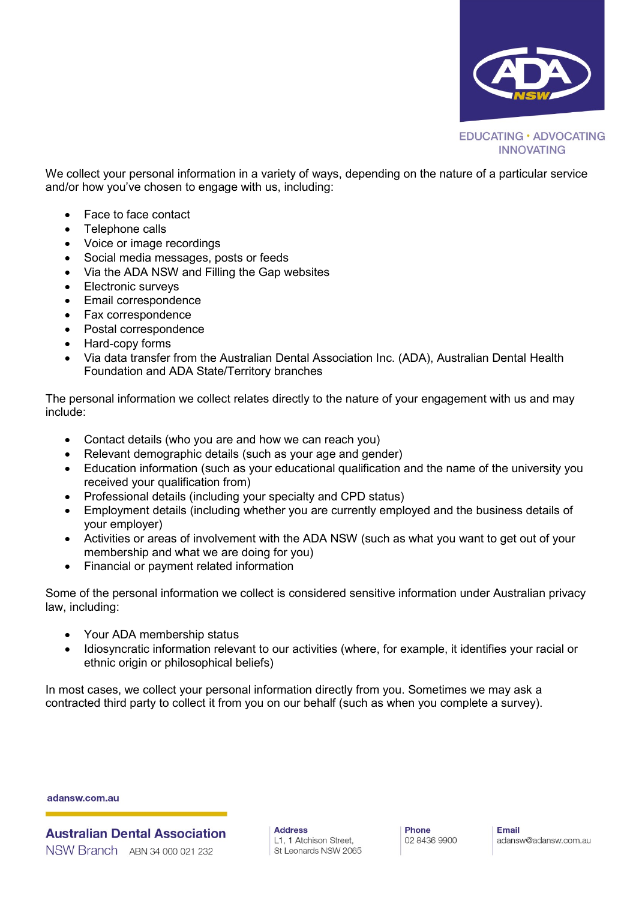

We collect your personal information in a variety of ways, depending on the nature of a particular service and/or how you've chosen to engage with us, including:

- Face to face contact
- Telephone calls
- Voice or image recordings
- Social media messages, posts or feeds
- Via the ADA NSW and Filling the Gap websites
- Electronic surveys
- Email correspondence
- Fax correspondence
- Postal correspondence
- Hard-copy forms
- Via data transfer from the Australian Dental Association Inc. (ADA), Australian Dental Health Foundation and ADA State/Territory branches

The personal information we collect relates directly to the nature of your engagement with us and may include:

- Contact details (who you are and how we can reach you)
- Relevant demographic details (such as your age and gender)
- Education information (such as your educational qualification and the name of the university you received your qualification from)
- Professional details (including your specialty and CPD status)
- Employment details (including whether you are currently employed and the business details of your employer)
- Activities or areas of involvement with the ADA NSW (such as what you want to get out of your membership and what we are doing for you)
- Financial or payment related information

Some of the personal information we collect is considered sensitive information under Australian privacy law, including:

- Your ADA membership status
- Idiosyncratic information relevant to our activities (where, for example, it identifies your racial or ethnic origin or philosophical beliefs)

In most cases, we collect your personal information directly from you. Sometimes we may ask a contracted third party to collect it from you on our behalf (such as when you complete a survey).

adansw.com.au

**Australian Dental Association** NSW Branch ABN 34 000 021 232

**Address** L1, 1 Atchison Street, St Leonards NSW 2065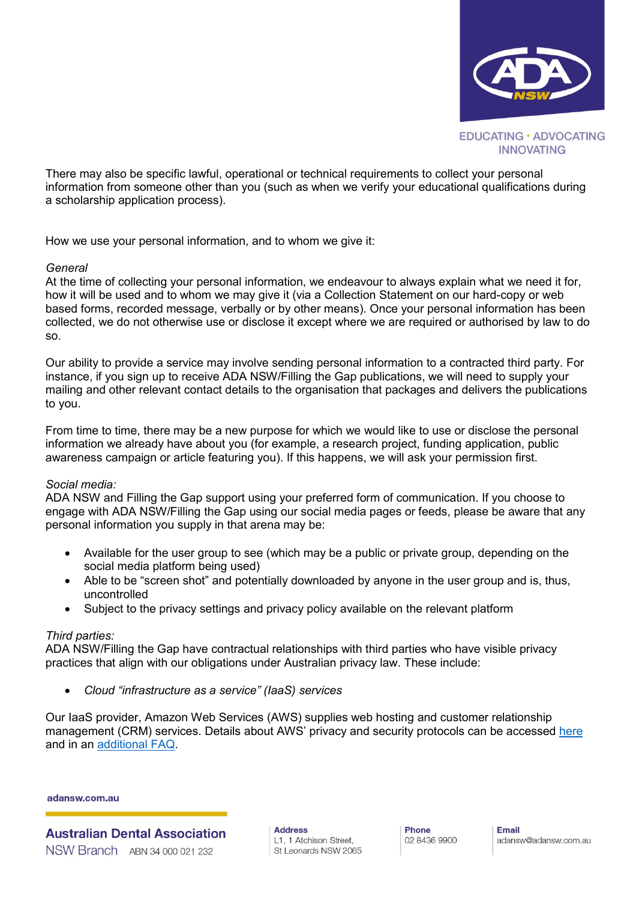

There may also be specific lawful, operational or technical requirements to collect your personal information from someone other than you (such as when we verify your educational qualifications during a scholarship application process).

How we use your personal information, and to whom we give it:

#### *General*

At the time of collecting your personal information, we endeavour to always explain what we need it for, how it will be used and to whom we may give it (via a Collection Statement on our hard-copy or web based forms, recorded message, verbally or by other means). Once your personal information has been collected, we do not otherwise use or disclose it except where we are required or authorised by law to do so.

Our ability to provide a service may involve sending personal information to a contracted third party. For instance, if you sign up to receive ADA NSW/Filling the Gap publications, we will need to supply your mailing and other relevant contact details to the organisation that packages and delivers the publications to you.

From time to time, there may be a new purpose for which we would like to use or disclose the personal information we already have about you (for example, a research project, funding application, public awareness campaign or article featuring you). If this happens, we will ask your permission first.

#### *Social media:*

ADA NSW and Filling the Gap support using your preferred form of communication. If you choose to engage with ADA NSW/Filling the Gap using our social media pages or feeds, please be aware that any personal information you supply in that arena may be:

- Available for the user group to see (which may be a public or private group, depending on the social media platform being used)
- Able to be "screen shot" and potentially downloaded by anyone in the user group and is, thus, uncontrolled
- Subject to the privacy settings and privacy policy available on the relevant platform

#### *Third parties:*

ADA NSW/Filling the Gap have contractual relationships with third parties who have visible privacy practices that align with our obligations under Australian privacy law. These include:

*Cloud "infrastructure as a service" (IaaS) services*

Our IaaS provider, Amazon Web Services (AWS) supplies web hosting and customer relationship management (CRM) services. Details about AWS' privacy and security protocols can be accessed [here](https://d1.awsstatic.com/whitepapers/compliance/Using_AWS_in_the_context_of_Australian_Privacy_Considerations.pdf) and in an [additional FAQ.](https://aws.amazon.com/compliance/data-privacy-faq/)

adansw.com.au

**Australian Dental Association** NSW Branch ABN 34 000 021 232

**Address** L1, 1 Atchison Street, St Leonards NSW 2065 Phone 02 8436 9900 Email adansw@adansw.com.au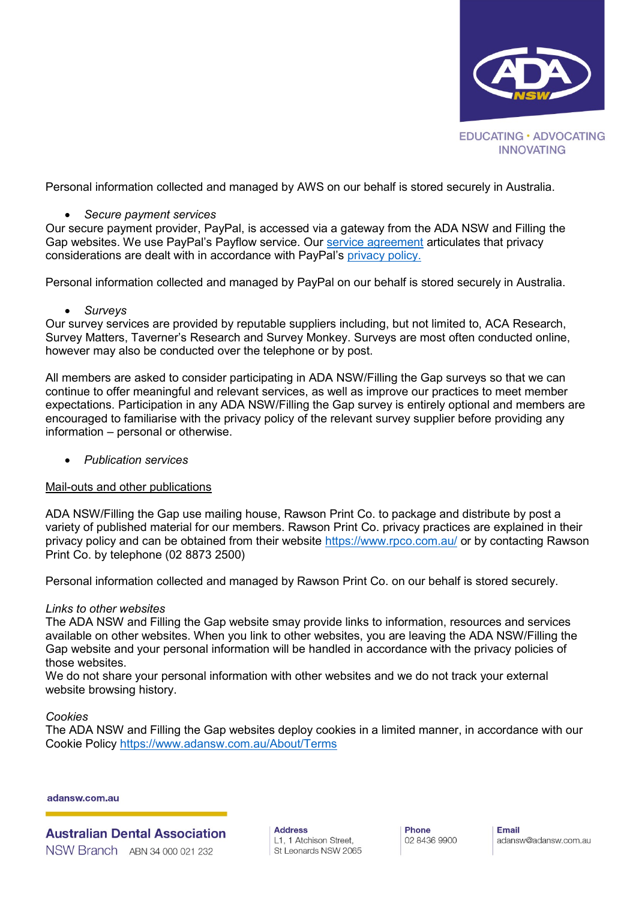

Personal information collected and managed by AWS on our behalf is stored securely in Australia.

## *Secure payment services*

Our secure payment provider, PayPal, is accessed via a gateway from the ADA NSW and Filling the Gap websites. We use PayPal's Payflow service. Our [service agreement](https://www.paypal.com/us/webapps/mpp/ua/payflowgatewaypp-full) articulates that privacy considerations are dealt with in accordance with PayPal's [privacy policy.](https://www.paypal.com/webapps/mpp/ua/privacy-full)

Personal information collected and managed by PayPal on our behalf is stored securely in Australia.

## *Surveys*

Our survey services are provided by reputable suppliers including, but not limited to, ACA Research, Survey Matters, Taverner's Research and Survey Monkey. Surveys are most often conducted online, however may also be conducted over the telephone or by post.

All members are asked to consider participating in ADA NSW/Filling the Gap surveys so that we can continue to offer meaningful and relevant services, as well as improve our practices to meet member expectations. Participation in any ADA NSW/Filling the Gap survey is entirely optional and members are encouraged to familiarise with the privacy policy of the relevant survey supplier before providing any information – personal or otherwise.

*Publication services*

#### Mail-outs and other publications

ADA NSW/Filling the Gap use mailing house, Rawson Print Co. to package and distribute by post a variety of published material for our members. Rawson Print Co. privacy practices are explained in their privacy policy and can be obtained from their website<https://www.rpco.com.au/> or by contacting Rawson Print Co. by telephone (02 8873 2500)

Personal information collected and managed by Rawson Print Co. on our behalf is stored securely.

#### *Links to other websites*

The ADA NSW and Filling the Gap website smay provide links to information, resources and services available on other websites. When you link to other websites, you are leaving the ADA NSW/Filling the Gap website and your personal information will be handled in accordance with the privacy policies of those websites.

We do not share your personal information with other websites and we do not track your external website browsing history.

#### *Cookies*

The ADA NSW and Filling the Gap websites deploy cookies in a limited manner, in accordance with our Cookie Policy<https://www.adansw.com.au/About/Terms>

adansw.com.au

**Australian Dental Association** NSW Branch ABN 34 000 021 232

**Address** L1, 1 Atchison Street, St Leonards NSW 2065 Phone 02 8436 9900 Email adansw@adansw.com.au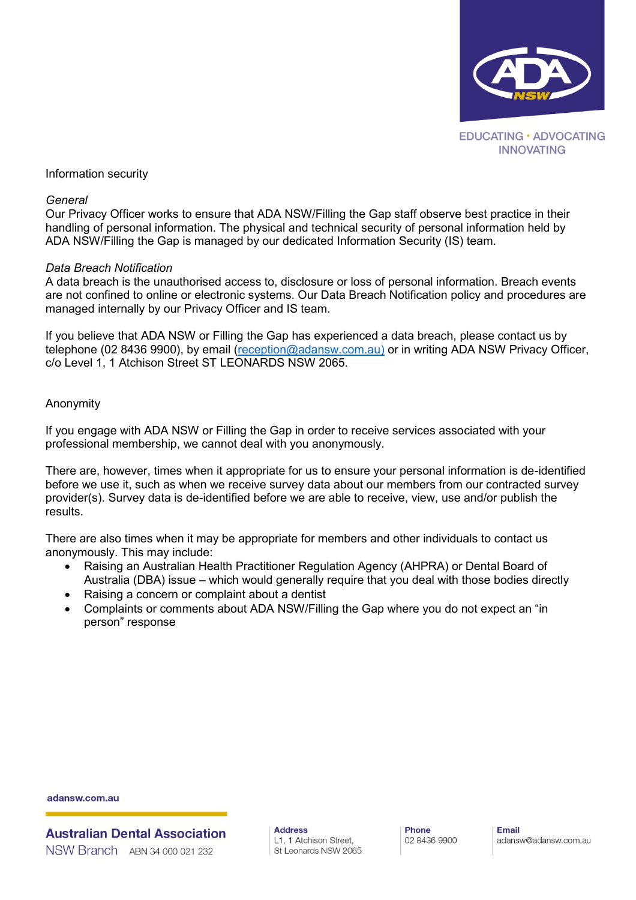

### Information security

#### *General*

Our Privacy Officer works to ensure that ADA NSW/Filling the Gap staff observe best practice in their handling of personal information. The physical and technical security of personal information held by ADA NSW/Filling the Gap is managed by our dedicated Information Security (IS) team.

#### *Data Breach Notification*

A data breach is the unauthorised access to, disclosure or loss of personal information. Breach events are not confined to online or electronic systems. Our Data Breach Notification policy and procedures are managed internally by our Privacy Officer and IS team.

If you believe that ADA NSW or Filling the Gap has experienced a data breach, please contact us by telephone (02 8436 9900), by email [\(reception@adansw.com.au\)](mailto:reception@adansw.com.au)) or in writing ADA NSW Privacy Officer, c/o Level 1, 1 Atchison Street ST LEONARDS NSW 2065.

#### Anonymity

If you engage with ADA NSW or Filling the Gap in order to receive services associated with your professional membership, we cannot deal with you anonymously.

There are, however, times when it appropriate for us to ensure your personal information is de-identified before we use it, such as when we receive survey data about our members from our contracted survey provider(s). Survey data is de-identified before we are able to receive, view, use and/or publish the results.

There are also times when it may be appropriate for members and other individuals to contact us anonymously. This may include:

- Raising an Australian Health Practitioner Regulation Agency (AHPRA) or Dental Board of Australia (DBA) issue – which would generally require that you deal with those bodies directly
- Raising a concern or complaint about a dentist
- Complaints or comments about ADA NSW/Filling the Gap where you do not expect an "in person" response

adansw.com.au

**Australian Dental Association** NSW Branch ABN 34 000 021 232

**Address** L1, 1 Atchison Street, St Leonards NSW 2065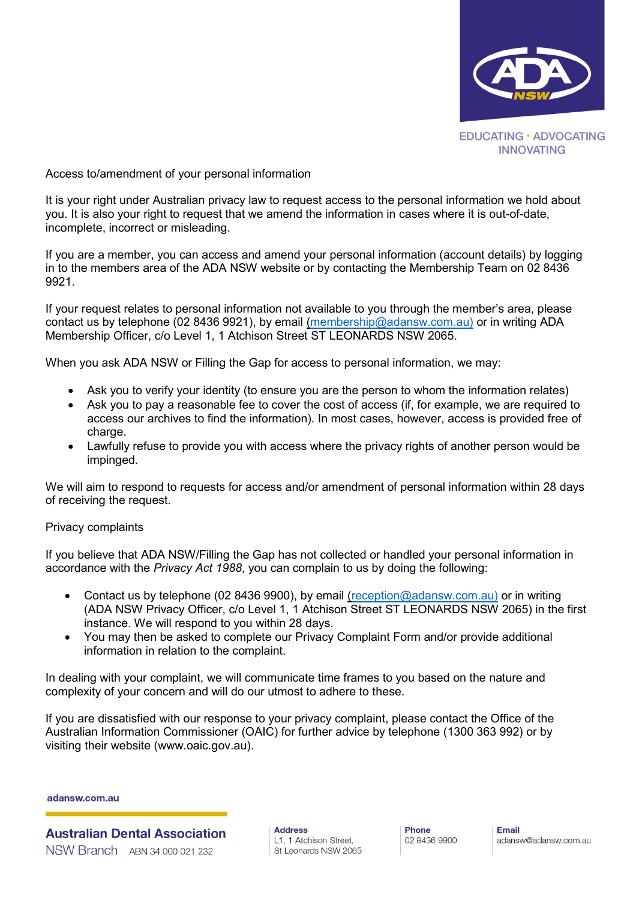

Access to/amendment of your personal information

It is your right under Australian privacy law to request access to the personal information we hold about you. It is also your right to request that we amend the information in cases where it is out-of-date, incomplete, incorrect or misleading.

If you are a member, you can access and amend your personal information (account details) by logging in to the members area of the ADA NSW website or by contacting the Membership Team on 02 8436 9921.

If your request relates to personal information not available to you through the member's area, please contact us by telephone (02 8436 9921), by email [\(membership@adansw.com.au\)](mailto:membership@adansw.com.au)) or in writing ADA Membership Officer, c/o Level 1, 1 Atchison Street ST LEONARDS NSW 2065.

When you ask ADA NSW or Filling the Gap for access to personal information, we may:

- Ask you to verify your identity (to ensure you are the person to whom the information relates)
- Ask you to pay a reasonable fee to cover the cost of access (if, for example, we are required to access our archives to find the information). In most cases, however, access is provided free of charge.
- Lawfully refuse to provide you with access where the privacy rights of another person would be impinged.

We will aim to respond to requests for access and/or amendment of personal information within 28 days of receiving the request.

#### Privacy complaints

If you believe that ADA NSW/Filling the Gap has not collected or handled your personal information in accordance with the *Privacy Act 1988*, you can complain to us by doing the following:

- Contact us by telephone (02 8436 9900), by email [\(reception@adansw.com.au\)](mailto:reception@adansw.com.au)) or in writing (ADA NSW Privacy Officer, c/o Level 1, 1 Atchison Street ST LEONARDS NSW 2065) in the first instance. We will respond to you within 28 days.
- You may then be asked to complete our Privacy Complaint Form and/or provide additional information in relation to the complaint.

In dealing with your complaint, we will communicate time frames to you based on the nature and complexity of your concern and will do our utmost to adhere to these.

If you are dissatisfied with our response to your privacy complaint, please contact the Office of the Australian Information Commissioner (OAIC) for further advice by telephone (1300 363 992) or by visiting their website (www.oaic.gov.au).

adansw.com.au

**Australian Dental Association** NSW Branch ABN 34 000 021 232

**Address** L1, 1 Atchison Street, St Leonards NSW 2065